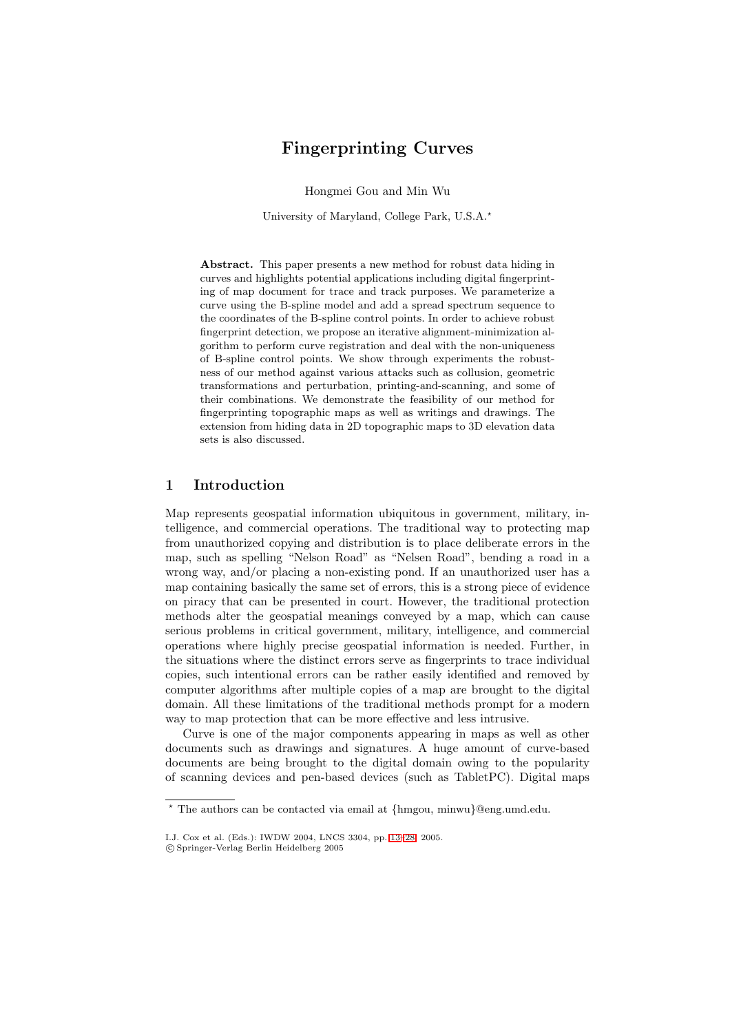# **Fingerprinting Curves**

Hongmei Gou and Min Wu

University of Maryland, College Park, U.S.A.

**Abstract.** This paper presents a new method for robust data hiding in curves and highlights potential applications including digital fingerprinting of map document for trace and track purposes. We parameterize a curve using the B-spline model and add a spread spectrum sequence to the coordinates of the B-spline control points. In order to achieve robust fingerprint detection, we propose an iterative alignment-minimization algorithm to perform curve registration and deal with the non-uniqueness of B-spline control points. We show through experiments the robustness of our method against various attacks such as collusion, geometric transformations and perturbation, printing-and-scanning, and some of their combinations. We demonstrate the feasibility of our method for fingerprinting topographic maps as well as writings and drawings. The extension from hiding data in 2D topographic maps to 3D elevation data sets is also discussed.

### **1 Introduction**

Map represents geospatial information ubiquitous in government, military, intelligence, and commercial operations. The traditional way to protecting map from unauthorized copying and distribution is to place deliberate errors in the map, such as spelling "Nelson Road" as "Nelsen Road", bending a road in a wrong way, and/or placing a non-existing pond. If an unauthorized user has a map containing basically the same set of errors, this is a strong piece of evidence on piracy that can be presented in court. However, the traditional protection methods alter the geospatial meanings conveyed by a map, which can cause serious problems in critical government, military, intelligence, and commercial operations where highly precise geospatial information is needed. Further, in the situations where the distinct errors serve as fingerprints to trace individual copies, such intentional errors can be rather easily identified and removed by computer algorithms after multiple copies of a map are brought to the digital domain. All these limitations of the traditional methods prompt for a modern way to map protection that can be more effective and less intrusive.

Curve is one of the major components appearing in maps as well as other documents such as drawings and signatures. A huge amount of curve-based documents are being brought to the digital domain owing to the popularity of scanning devices and pen-based devices (such as TabletPC). Digital maps

 $^\star$  The authors can be contacted via email at {hmgou, minwu}@eng.umd.edu.

I.J. Cox et al. (Eds.): IWDW 2004, LNCS 3304, pp. 13[–28,](#page-15-0) 2005. c Springer-Verlag Berlin Heidelberg 2005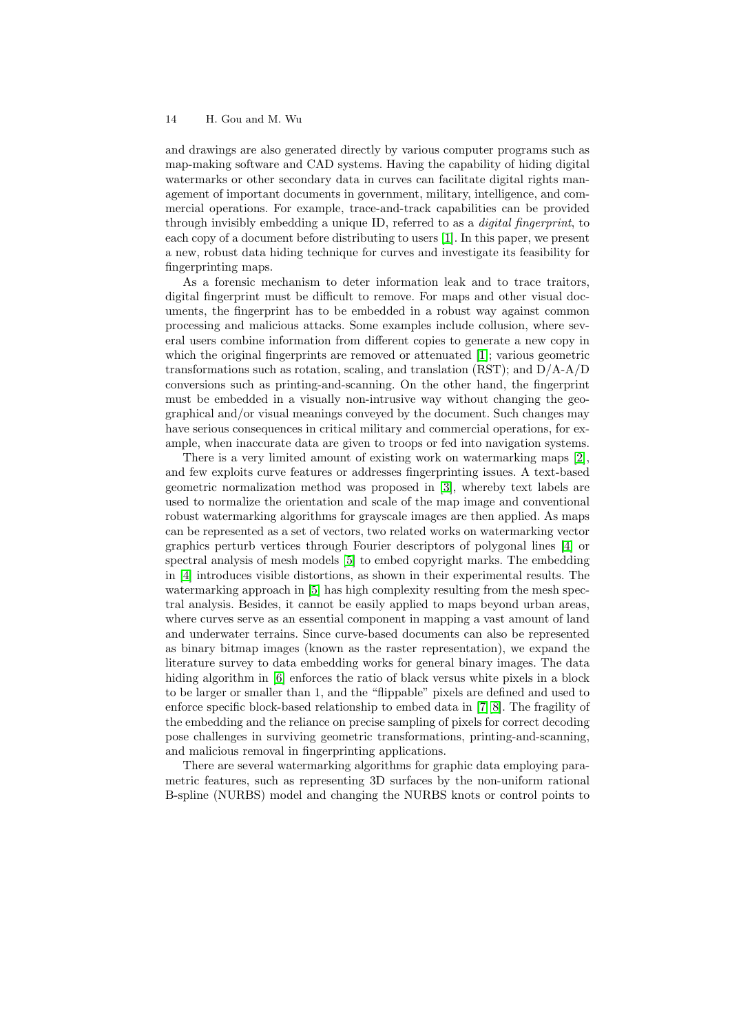and drawings are also generated directly by various computer programs such as map-making software and CAD systems. Having the capability of hiding digital watermarks or other secondary data in curves can facilitate digital rights management of important documents in government, military, intelligence, and commercial operations. For example, trace-and-track capabilities can be provided through invisibly embedding a unique ID, referred to as a digital fingerprint, to each copy of a document before distributing to users [\[1\]](#page-14-0). In this paper, we present a new, robust data hiding technique for curves and investigate its feasibility for fingerprinting maps.

As a forensic mechanism to deter information leak and to trace traitors, digital fingerprint must be difficult to remove. For maps and other visual documents, the fingerprint has to be embedded in a robust way against common processing and malicious attacks. Some examples include collusion, where several users combine information from different copies to generate a new copy in which the original fingerprints are removed or attenuated [\[1\]](#page-14-0); various geometric transformations such as rotation, scaling, and translation  $(RST)$ ; and  $D/A-A/D$ conversions such as printing-and-scanning. On the other hand, the fingerprint must be embedded in a visually non-intrusive way without changing the geographical and/or visual meanings conveyed by the document. Such changes may have serious consequences in critical military and commercial operations, for example, when inaccurate data are given to troops or fed into navigation systems.

There is a very limited amount of existing work on watermarking maps [\[2\]](#page-14-0), and few exploits curve features or addresses fingerprinting issues. A text-based geometric normalization method was proposed in [\[3\]](#page-14-0), whereby text labels are used to normalize the orientation and scale of the map image and conventional robust watermarking algorithms for grayscale images are then applied. As maps can be represented as a set of vectors, two related works on watermarking vector graphics perturb vertices through Fourier descriptors of polygonal lines [\[4\]](#page-14-0) or spectral analysis of mesh models [\[5\]](#page-14-0) to embed copyright marks. The embedding in [\[4\]](#page-14-0) introduces visible distortions, as shown in their experimental results. The watermarking approach in [\[5\]](#page-14-0) has high complexity resulting from the mesh spectral analysis. Besides, it cannot be easily applied to maps beyond urban areas, where curves serve as an essential component in mapping a vast amount of land and underwater terrains. Since curve-based documents can also be represented as binary bitmap images (known as the raster representation), we expand the literature survey to data embedding works for general binary images. The data hiding algorithm in [\[6\]](#page-14-0) enforces the ratio of black versus white pixels in a block to be larger or smaller than 1, and the "flippable" pixels are defined and used to enforce specific block-based relationship to embed data in [\[7\]](#page-14-0)[\[8\]](#page-15-0). The fragility of the embedding and the reliance on precise sampling of pixels for correct decoding pose challenges in surviving geometric transformations, printing-and-scanning, and malicious removal in fingerprinting applications.

There are several watermarking algorithms for graphic data employing parametric features, such as representing 3D surfaces by the non-uniform rational B-spline (NURBS) model and changing the NURBS knots or control points to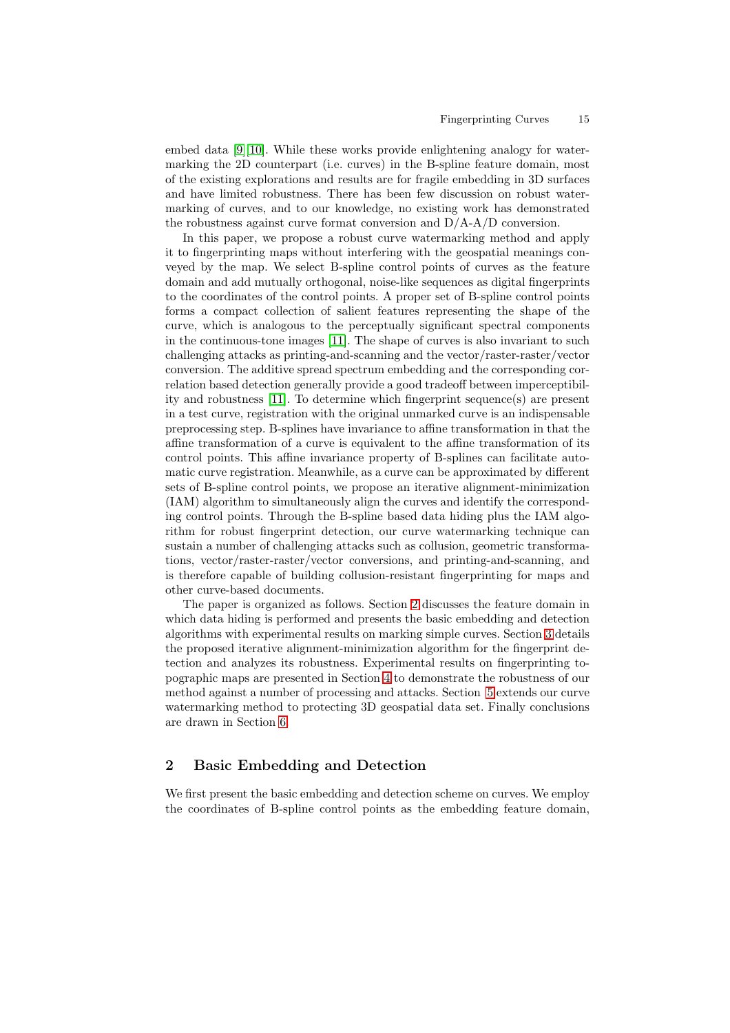embed data [\[9\]\[10\]](#page-15-0). While these works provide enlightening analogy for watermarking the 2D counterpart (i.e. curves) in the B-spline feature domain, most of the existing explorations and results are for fragile embedding in 3D surfaces and have limited robustness. There has been few discussion on robust watermarking of curves, and to our knowledge, no existing work has demonstrated the robustness against curve format conversion and  $D/A-A/D$  conversion.

In this paper, we propose a robust curve watermarking method and apply it to fingerprinting maps without interfering with the geospatial meanings conveyed by the map. We select B-spline control points of curves as the feature domain and add mutually orthogonal, noise-like sequences as digital fingerprints to the coordinates of the control points. A proper set of B-spline control points forms a compact collection of salient features representing the shape of the curve, which is analogous to the perceptually significant spectral components in the continuous-tone images [\[11\]](#page-15-0). The shape of curves is also invariant to such challenging attacks as printing-and-scanning and the vector/raster-raster/vector conversion. The additive spread spectrum embedding and the corresponding correlation based detection generally provide a good tradeoff between imperceptibility and robustness [\[11\]](#page-15-0). To determine which fingerprint sequence(s) are present in a test curve, registration with the original unmarked curve is an indispensable preprocessing step. B-splines have invariance to affine transformation in that the affine transformation of a curve is equivalent to the affine transformation of its control points. This affine invariance property of B-splines can facilitate automatic curve registration. Meanwhile, as a curve can be approximated by different sets of B-spline control points, we propose an iterative alignment-minimization (IAM) algorithm to simultaneously align the curves and identify the corresponding control points. Through the B-spline based data hiding plus the IAM algorithm for robust fingerprint detection, our curve watermarking technique can sustain a number of challenging attacks such as collusion, geometric transformations, vector/raster-raster/vector conversions, and printing-and-scanning, and is therefore capable of building collusion-resistant fingerprinting for maps and other curve-based documents.

The paper is organized as follows. Section 2 discusses the feature domain in which data hiding is performed and presents the basic embedding and detection algorithms with experimental results on marking simple curves. Section [3](#page-6-0) details the proposed iterative alignment-minimization algorithm for the fingerprint detection and analyzes its robustness. Experimental results on fingerprinting topographic maps are presented in Section [4](#page-11-0) to demonstrate the robustness of our method against a number of processing and attacks. Section [5](#page-12-0) extends our curve watermarking method to protecting 3D geospatial data set. Finally conclusions are drawn in Section [6.](#page-14-0)

# **2 Basic Embedding and Detection**

We first present the basic embedding and detection scheme on curves. We employ the coordinates of B-spline control points as the embedding feature domain,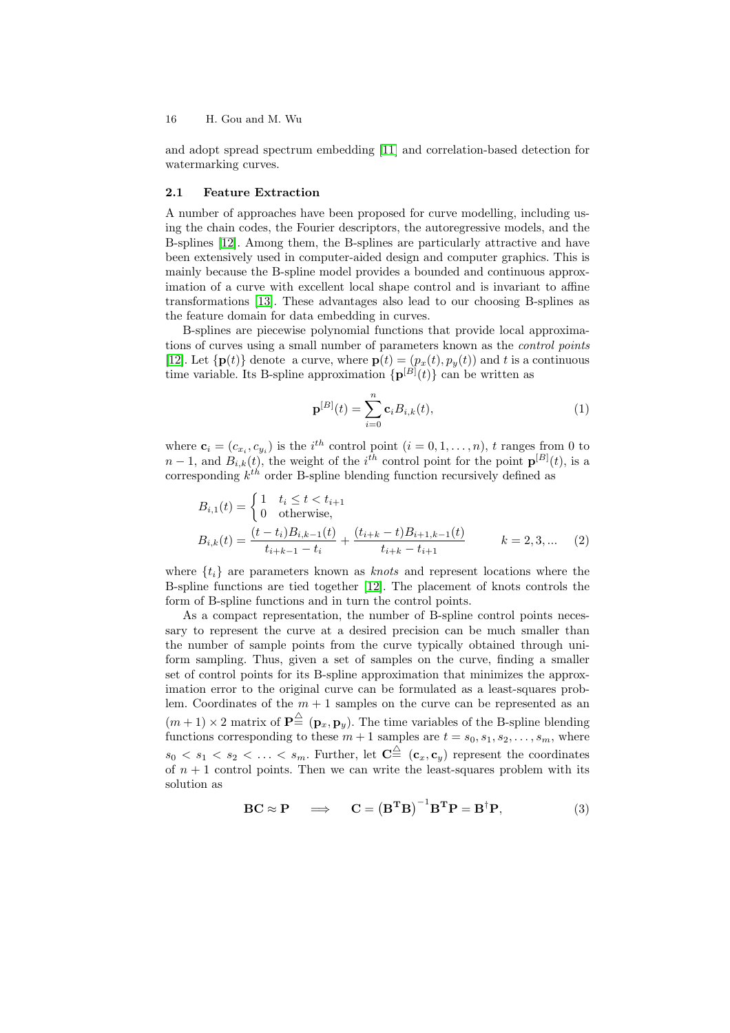<span id="page-3-0"></span>and adopt spread spectrum embedding [\[11\]](#page-15-0) and correlation-based detection for watermarking curves.

#### **2.1 Feature Extraction**

A number of approaches have been proposed for curve modelling, including using the chain codes, the Fourier descriptors, the autoregressive models, and the B-splines [\[12\]](#page-15-0). Among them, the B-splines are particularly attractive and have been extensively used in computer-aided design and computer graphics. This is mainly because the B-spline model provides a bounded and continuous approximation of a curve with excellent local shape control and is invariant to affine transformations [\[13\]](#page-15-0). These advantages also lead to our choosing B-splines as the feature domain for data embedding in curves.

B-splines are piecewise polynomial functions that provide local approximations of curves using a small number of parameters known as the control points [\[12\]](#page-15-0). Let  $\{p(t)\}\$  denote a curve, where  $p(t)=(p_x(t), p_y(t))$  and t is a continuous time variable. Its B-spline approximation  $\{p^{[B]}(t)\}\$ can be written as

$$
\mathbf{p}^{[B]}(t) = \sum_{i=0}^{n} \mathbf{c}_i B_{i,k}(t),
$$
\n(1)

where  $\mathbf{c}_i = (c_{x_i}, c_{y_i})$  is the i<sup>th</sup> control point  $(i = 0, 1, ..., n)$ , t ranges from 0 to  $n-1$ , and  $B_{i,k}(t)$ , the weight of the  $i^{th}$  control point for the point  $\mathbf{p}^{[B]}(t)$ , is a corresponding  $k^{th}$  order B-spline blending function recursively defined as

$$
B_{i,1}(t) = \begin{cases} 1 & t_i \le t < t_{i+1} \\ 0 & \text{otherwise,} \end{cases}
$$
\n
$$
B_{i,k}(t) = \frac{(t - t_i)B_{i,k-1}(t)}{t_{i+k-1} - t_i} + \frac{(t_{i+k} - t)B_{i+1,k-1}(t)}{t_{i+k} - t_{i+1}} \qquad k = 2, 3, \dots \quad (2)
$$

where  $\{t_i\}$  are parameters known as *knots* and represent locations where the B-spline functions are tied together [\[12\]](#page-15-0). The placement of knots controls the form of B-spline functions and in turn the control points.

As a compact representation, the number of B-spline control points necessary to represent the curve at a desired precision can be much smaller than the number of sample points from the curve typically obtained through uniform sampling. Thus, given a set of samples on the curve, finding a smaller set of control points for its B-spline approximation that minimizes the approximation error to the original curve can be formulated as a least-squares problem. Coordinates of the  $m + 1$  samples on the curve can be represented as an  $(m+1) \times 2$  matrix of  $\mathbf{P}^{\leq}$   $(\mathbf{p}_x, \mathbf{p}_y)$ . The time variables of the B-spline blending functions corresponding to these  $m + 1$  samples are  $t = s_0, s_1, s_2, \ldots, s_m$ , where  $s_0 < s_1 < s_2 < \ldots < s_m$ . Further, let  $\mathbf{C}^{\leq}$  ( $\mathbf{c}_x, \mathbf{c}_y$ ) represent the coordinates of  $n + 1$  control points. Then we can write the least-squares problem with its solution as

$$
\mathbf{BC} \approx \mathbf{P} \quad \Longrightarrow \quad \mathbf{C} = \left(\mathbf{B}^{\mathbf{T}} \mathbf{B}\right)^{-1} \mathbf{B}^{\mathbf{T}} \mathbf{P} = \mathbf{B}^{\dagger} \mathbf{P},\tag{3}
$$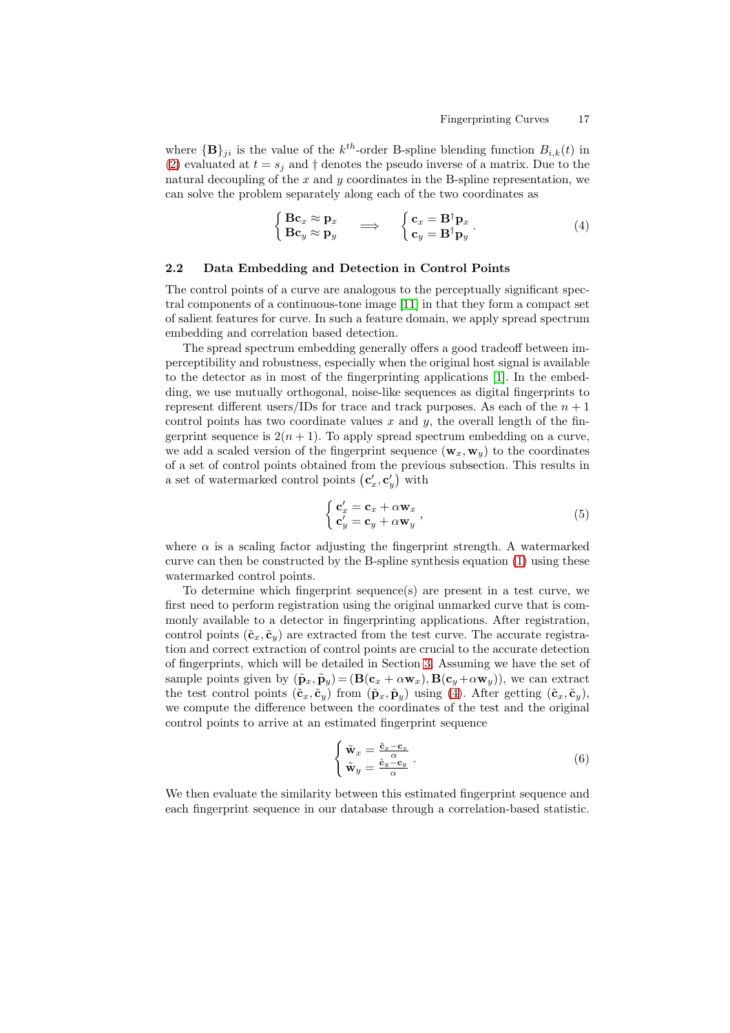<span id="page-4-0"></span>where  ${\bf \{B\}}_{ji}$  is the value of the  $k^{th}$ -order B-spline blending function  $B_{i,k}(t)$  in [\(2\)](#page-3-0) evaluated at  $t = s_i$  and  $\dagger$  denotes the pseudo inverse of a matrix. Due to the natural decoupling of the  $x$  and  $y$  coordinates in the B-spline representation, we can solve the problem separately along each of the two coordinates as

$$
\begin{cases}\n\mathbf{Bc}_x \approx \mathbf{p}_x \\
\mathbf{Bc}_y \approx \mathbf{p}_y\n\end{cases} \implies \begin{cases}\n\mathbf{c}_x = \mathbf{B}^\dagger \mathbf{p}_x \\
\mathbf{c}_y = \mathbf{B}^\dagger \mathbf{p}_y\n\end{cases}.
$$
\n(4)

#### **2.2 Data Embedding and Detection in Control Points**

The control points of a curve are analogous to the perceptually significant spectral components of a continuous-tone image [\[11\]](#page-15-0) in that they form a compact set of salient features for curve. In such a feature domain, we apply spread spectrum embedding and correlation based detection.

The spread spectrum embedding generally offers a good tradeoff between imperceptibility and robustness, especially when the original host signal is available to the detector as in most of the fingerprinting applications [\[1\]](#page-14-0). In the embedding, we use mutually orthogonal, noise-like sequences as digital fingerprints to represent different users/IDs for trace and track purposes. As each of the  $n+1$ control points has two coordinate values  $x$  and  $y$ , the overall length of the fingerprint sequence is  $2(n+1)$ . To apply spread spectrum embedding on a curve, we add a scaled version of the fingerprint sequence  $(\mathbf{w}_x, \mathbf{w}_y)$  to the coordinates of a set of control points obtained from the previous subsection. This results in a set of watermarked control points  $(c'_x, c'_y)$  with

$$
\begin{cases} \mathbf{c}'_x = \mathbf{c}_x + \alpha \mathbf{w}_x \\ \mathbf{c}'_y = \mathbf{c}_y + \alpha \mathbf{w}_y \end{cases},
$$
\n(5)

where  $\alpha$  is a scaling factor adjusting the fingerprint strength. A watermarked curve can then be constructed by the B-spline synthesis equation [\(1\)](#page-3-0) using these watermarked control points.

To determine which fingerprint sequence(s) are present in a test curve, we first need to perform registration using the original unmarked curve that is commonly available to a detector in fingerprinting applications. After registration, control points  $(\tilde{\mathbf{c}}_x, \tilde{\mathbf{c}}_y)$  are extracted from the test curve. The accurate registration and correct extraction of control points are crucial to the accurate detection of fingerprints, which will be detailed in Section [3.](#page-6-0) Assuming we have the set of sample points given by  $(\tilde{\mathbf{p}}_x, \tilde{\mathbf{p}}_y) = (\mathbf{B}(\mathbf{c}_x + \alpha \mathbf{w}_x), \mathbf{B}(\mathbf{c}_y + \alpha \mathbf{w}_y))$ , we can extract the test control points  $(\tilde{\mathbf{c}}_x, \tilde{\mathbf{c}}_y)$  from  $(\tilde{\mathbf{p}}_x, \tilde{\mathbf{p}}_y)$  using (4). After getting  $(\tilde{\mathbf{c}}_x, \tilde{\mathbf{c}}_y)$ , we compute the difference between the coordinates of the test and the original control points to arrive at an estimated fingerprint sequence

$$
\begin{cases} \tilde{\mathbf{w}}_x = \frac{\tilde{\mathbf{c}}_x - \mathbf{c}_x}{\alpha} \\ \tilde{\mathbf{w}}_y = \frac{\tilde{\mathbf{c}}_y - \mathbf{c}_y}{\alpha} \end{cases} . \tag{6}
$$

We then evaluate the similarity between this estimated fingerprint sequence and each fingerprint sequence in our database through a correlation-based statistic.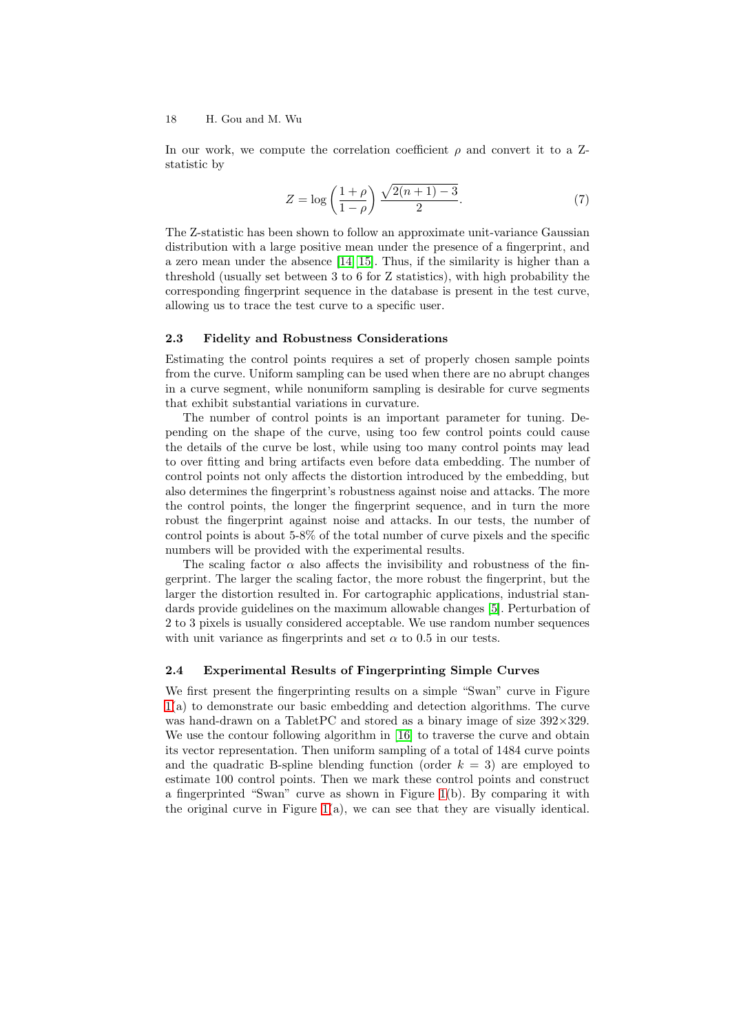In our work, we compute the correlation coefficient  $\rho$  and convert it to a Zstatistic by

$$
Z = \log\left(\frac{1+\rho}{1-\rho}\right) \frac{\sqrt{2(n+1)-3}}{2}.
$$
 (7)

The Z-statistic has been shown to follow an approximate unit-variance Gaussian distribution with a large positive mean under the presence of a fingerprint, and a zero mean under the absence [\[14\]\[15\]](#page-15-0). Thus, if the similarity is higher than a threshold (usually set between 3 to 6 for Z statistics), with high probability the corresponding fingerprint sequence in the database is present in the test curve, allowing us to trace the test curve to a specific user.

#### **2.3 Fidelity and Robustness Considerations**

Estimating the control points requires a set of properly chosen sample points from the curve. Uniform sampling can be used when there are no abrupt changes in a curve segment, while nonuniform sampling is desirable for curve segments that exhibit substantial variations in curvature.

The number of control points is an important parameter for tuning. Depending on the shape of the curve, using too few control points could cause the details of the curve be lost, while using too many control points may lead to over fitting and bring artifacts even before data embedding. The number of control points not only affects the distortion introduced by the embedding, but also determines the fingerprint's robustness against noise and attacks. The more the control points, the longer the fingerprint sequence, and in turn the more robust the fingerprint against noise and attacks. In our tests, the number of control points is about 5-8% of the total number of curve pixels and the specific numbers will be provided with the experimental results.

The scaling factor  $\alpha$  also affects the invisibility and robustness of the fingerprint. The larger the scaling factor, the more robust the fingerprint, but the larger the distortion resulted in. For cartographic applications, industrial standards provide guidelines on the maximum allowable changes [\[5\]](#page-14-0). Perturbation of 2 to 3 pixels is usually considered acceptable. We use random number sequences with unit variance as fingerprints and set  $\alpha$  to 0.5 in our tests.

#### 2.4 Experimental Results of Fingerprinting Simple Curves

We first present the fingerprinting results on a simple "Swan" curve in Figure [1\(](#page-6-0)a) to demonstrate our basic embedding and detection algorithms. The curve was hand-drawn on a TabletPC and stored as a binary image of size 392×329. We use the contour following algorithm in [\[16\]](#page-15-0) to traverse the curve and obtain its vector representation. Then uniform sampling of a total of 1484 curve points and the quadratic B-spline blending function (order  $k = 3$ ) are employed to estimate 100 control points. Then we mark these control points and construct a fingerprinted "Swan" curve as shown in Figure [1\(](#page-6-0)b). By comparing it with the original curve in Figure [1\(](#page-6-0)a), we can see that they are visually identical.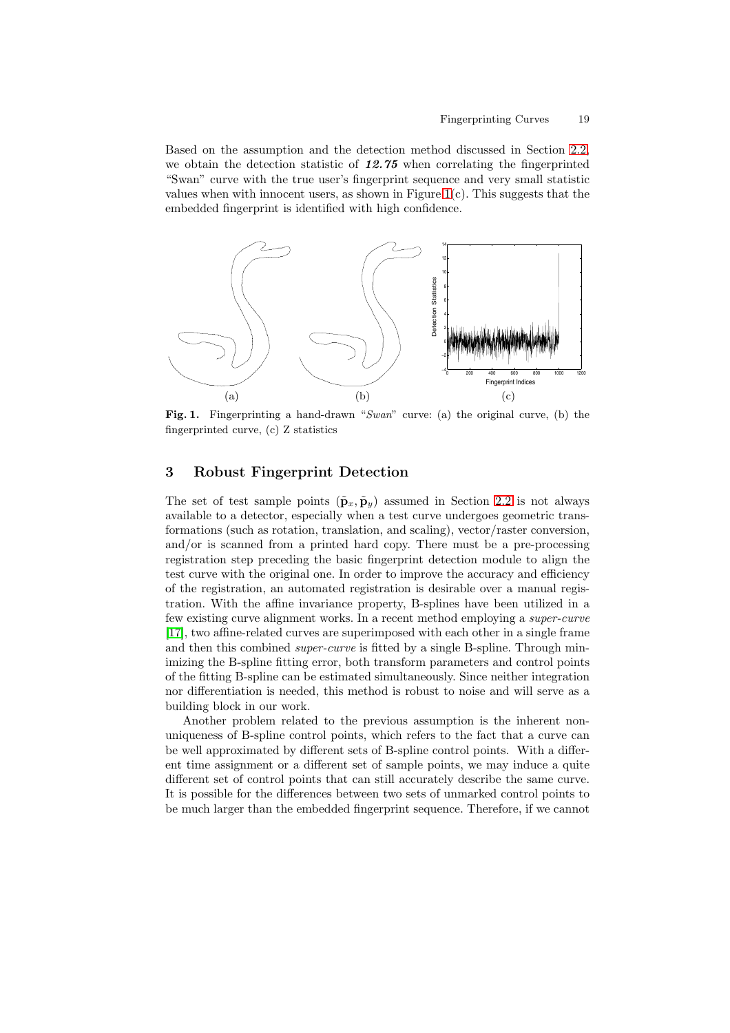<span id="page-6-0"></span>Based on the assumption and the detection method discussed in Section [2.2,](#page-4-0) we obtain the detection statistic of *12.75* when correlating the fingerprinted "Swan" curve with the true user's fingerprint sequence and very small statistic values when with innocent users, as shown in Figure  $1(c)$ . This suggests that the embedded fingerprint is identified with high confidence.



Fig. 1. Fingerprinting a hand-drawn "Swan" curve: (a) the original curve, (b) the fingerprinted curve, (c) Z statistics

# **3 Robust Fingerprint Detection**

The set of test sample points  $(\tilde{\mathbf{p}}_x, \tilde{\mathbf{p}}_y)$  assumed in Section [2.2](#page-4-0) is not always available to a detector, especially when a test curve undergoes geometric transformations (such as rotation, translation, and scaling), vector/raster conversion, and/or is scanned from a printed hard copy. There must be a pre-processing registration step preceding the basic fingerprint detection module to align the test curve with the original one. In order to improve the accuracy and efficiency of the registration, an automated registration is desirable over a manual registration. With the affine invariance property, B-splines have been utilized in a few existing curve alignment works. In a recent method employing a super-curve [\[17\]](#page-15-0), two affine-related curves are superimposed with each other in a single frame and then this combined *super-curve* is fitted by a single B-spline. Through minimizing the B-spline fitting error, both transform parameters and control points of the fitting B-spline can be estimated simultaneously. Since neither integration nor differentiation is needed, this method is robust to noise and will serve as a building block in our work.

Another problem related to the previous assumption is the inherent nonuniqueness of B-spline control points, which refers to the fact that a curve can be well approximated by different sets of B-spline control points. With a different time assignment or a different set of sample points, we may induce a quite different set of control points that can still accurately describe the same curve. It is possible for the differences between two sets of unmarked control points to be much larger than the embedded fingerprint sequence. Therefore, if we cannot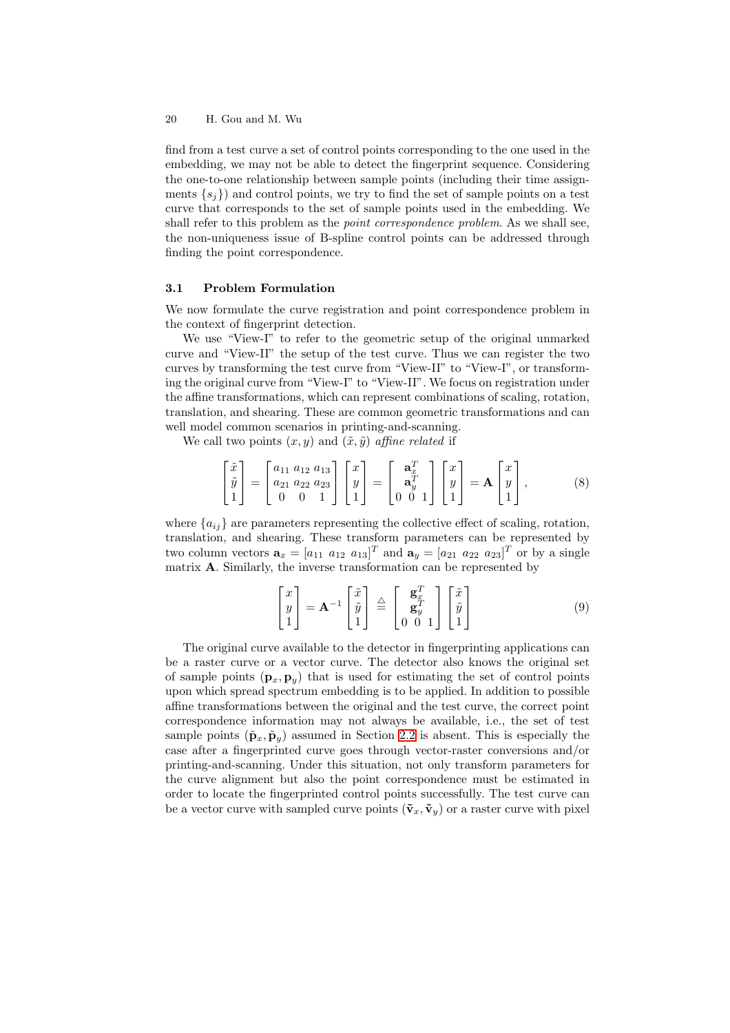find from a test curve a set of control points corresponding to the one used in the embedding, we may not be able to detect the fingerprint sequence. Considering the one-to-one relationship between sample points (including their time assignments  $\{s_i\}$  and control points, we try to find the set of sample points on a test curve that corresponds to the set of sample points used in the embedding. We shall refer to this problem as the *point correspondence problem*. As we shall see, the non-uniqueness issue of B-spline control points can be addressed through finding the point correspondence.

#### **3.1 Problem Formulation**

We now formulate the curve registration and point correspondence problem in the context of fingerprint detection.

We use "View-I" to refer to the geometric setup of the original unmarked curve and "View-II" the setup of the test curve. Thus we can register the two curves by transforming the test curve from "View-II" to "View-I", or transforming the original curve from "View-I" to "View-II". We focus on registration under the affine transformations, which can represent combinations of scaling, rotation, translation, and shearing. These are common geometric transformations and can well model common scenarios in printing-and-scanning.

We call two points  $(x, y)$  and  $(\tilde{x}, \tilde{y})$  affine related if

$$
\begin{bmatrix} \tilde{x} \\ \tilde{y} \\ 1 \end{bmatrix} = \begin{bmatrix} a_{11} & a_{12} & a_{13} \\ a_{21} & a_{22} & a_{23} \\ 0 & 0 & 1 \end{bmatrix} \begin{bmatrix} x \\ y \\ 1 \end{bmatrix} = \begin{bmatrix} \mathbf{a}_x^T \\ \mathbf{a}_y^T \\ 0 & 0 & 1 \end{bmatrix} \begin{bmatrix} x \\ y \\ 1 \end{bmatrix} = \mathbf{A} \begin{bmatrix} x \\ y \\ 1 \end{bmatrix},
$$
 (8)

where  ${a_{ij}}$  are parameters representing the collective effect of scaling, rotation, translation, and shearing. These transform parameters can be represented by two column vectors  $\mathbf{a}_x = [a_{11} \ a_{12} \ a_{13}]^T$  and  $\mathbf{a}_y = [a_{21} \ a_{22} \ a_{23}]^T$  or by a single matrix **A**. Similarly, the inverse transformation can be represented by

$$
\begin{bmatrix} x \\ y \\ 1 \end{bmatrix} = \mathbf{A}^{-1} \begin{bmatrix} \tilde{x} \\ \tilde{y} \\ 1 \end{bmatrix} \stackrel{\triangle}{=} \begin{bmatrix} \mathbf{g}_x^T \\ \mathbf{g}_y^T \\ 0 \quad 0 \quad 1 \end{bmatrix} \begin{bmatrix} \tilde{x} \\ \tilde{y} \\ 1 \end{bmatrix}
$$
(9)

The original curve available to the detector in fingerprinting applications can be a raster curve or a vector curve. The detector also knows the original set of sample points  $(\mathbf{p}_x, \mathbf{p}_y)$  that is used for estimating the set of control points upon which spread spectrum embedding is to be applied. In addition to possible affine transformations between the original and the test curve, the correct point correspondence information may not always be available, i.e., the set of test sample points  $(\tilde{\mathbf{p}}_x, \tilde{\mathbf{p}}_y)$  assumed in Section [2.2](#page-4-0) is absent. This is especially the case after a fingerprinted curve goes through vector-raster conversions and/or printing-and-scanning. Under this situation, not only transform parameters for the curve alignment but also the point correspondence must be estimated in order to locate the fingerprinted control points successfully. The test curve can be a vector curve with sampled curve points  $(\tilde{\mathbf{v}}_x, \tilde{\mathbf{v}}_y)$  or a raster curve with pixel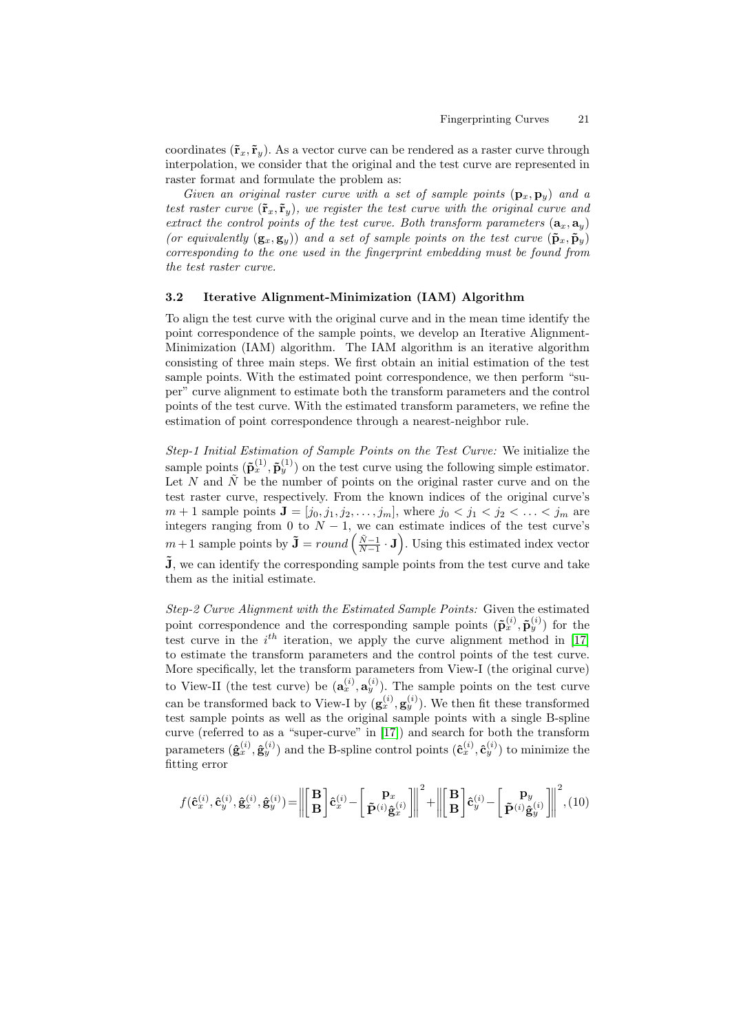coordinates  $(\tilde{\mathbf{r}}_x, \tilde{\mathbf{r}}_y)$ . As a vector curve can be rendered as a raster curve through interpolation, we consider that the original and the test curve are represented in raster format and formulate the problem as:

Given an original raster curve with a set of sample points  $(\mathbf{p}_x, \mathbf{p}_y)$  and a test raster curve  $(\tilde{\mathbf{r}}_x, \tilde{\mathbf{r}}_y)$ , we register the test curve with the original curve and extract the control points of the test curve. Both transform parameters  $(\mathbf{a}_x, \mathbf{a}_y)$ (or equivalently  $(\mathbf{g}_x, \mathbf{g}_y)$ ) and a set of sample points on the test curve  $(\mathbf{\tilde{p}}_x, \mathbf{\tilde{p}}_y)$ corresponding to the one used in the fingerprint embedding must be found from the test raster curve.

### **3.2 Iterative Alignment-Minimization (IAM) Algorithm**

To align the test curve with the original curve and in the mean time identify the point correspondence of the sample points, we develop an Iterative Alignment-Minimization (IAM) algorithm. The IAM algorithm is an iterative algorithm consisting of three main steps. We first obtain an initial estimation of the test sample points. With the estimated point correspondence, we then perform "super" curve alignment to estimate both the transform parameters and the control points of the test curve. With the estimated transform parameters, we refine the estimation of point correspondence through a nearest-neighbor rule.

Step-1 Initial Estimation of Sample Points on the Test Curve: We initialize the sample points  $(\tilde{\mathbf{p}}_x^{(1)}, \tilde{\mathbf{p}}_y^{(1)})$  on the test curve using the following simple estimator. Let  $N$  and  $\tilde{N}$  be the number of points on the original raster curve and on the test raster curve, respectively. From the known indices of the original curve's  $m + 1$  sample points  $J = [j_0, j_1, j_2, \ldots, j_m]$ , where  $j_0 < j_1 < j_2 < \ldots < j_m$  are integers ranging from 0 to  $N-1$ , we can estimate indices of the test curve's  $m+1$  sample points by  $\tilde{\mathbf{J}} = round\left(\frac{\tilde{N}-1}{N-1} \cdot \mathbf{J}\right)$ . Using this estimated index vector **J**, we can identify the corresponding sample points from the test curve and take them as the initial estimate.

Step-2 Curve Alignment with the Estimated Sample Points: Given the estimated point correspondence and the corresponding sample points  $(\tilde{\mathbf{p}}_x^{(i)}, \tilde{\mathbf{p}}_y^{(i)})$  for the test curve in the  $i^{th}$  iteration, we apply the curve alignment method in [\[17\]](#page-15-0) to estimate the transform parameters and the control points of the test curve. More specifically, let the transform parameters from View-I (the original curve) to View-II (the test curve) be  $(\mathbf{a}_x^{(i)}, \mathbf{a}_y^{(i)})$ . The sample points on the test curve can be transformed back to View-I by  $(\mathbf{g}_x^{(i)}, \mathbf{g}_y^{(i)})$ . We then fit these transformed test sample points as well as the original sample points with a single B-spline curve (referred to as a "super-curve" in [\[17\]](#page-15-0)) and search for both the transform parameters  $(\hat{\mathbf{g}}_x^{(i)}, \hat{\mathbf{g}}_y^{(i)})$  and the B-spline control points  $(\hat{\mathbf{c}}_x^{(i)}, \hat{\mathbf{c}}_y^{(i)})$  to minimize the fitting error

$$
f(\hat{\mathbf{c}}_x^{(i)}, \hat{\mathbf{c}}_y^{(i)}, \hat{\mathbf{g}}_x^{(i)}, \hat{\mathbf{g}}_y^{(i)}) = \left\| \begin{bmatrix} \mathbf{B} \\ \mathbf{B} \end{bmatrix} \hat{\mathbf{c}}_x^{(i)} - \begin{bmatrix} \mathbf{p}_x \\ \tilde{\mathbf{p}}^{(i)} \hat{\mathbf{g}}_x^{(i)} \end{bmatrix} \right\|^2 + \left\| \begin{bmatrix} \mathbf{B} \\ \mathbf{B} \end{bmatrix} \hat{\mathbf{c}}_y^{(i)} - \begin{bmatrix} \mathbf{p}_y \\ \tilde{\mathbf{p}}^{(i)} \hat{\mathbf{g}}_y^{(i)} \end{bmatrix} \right\|^2, (10)
$$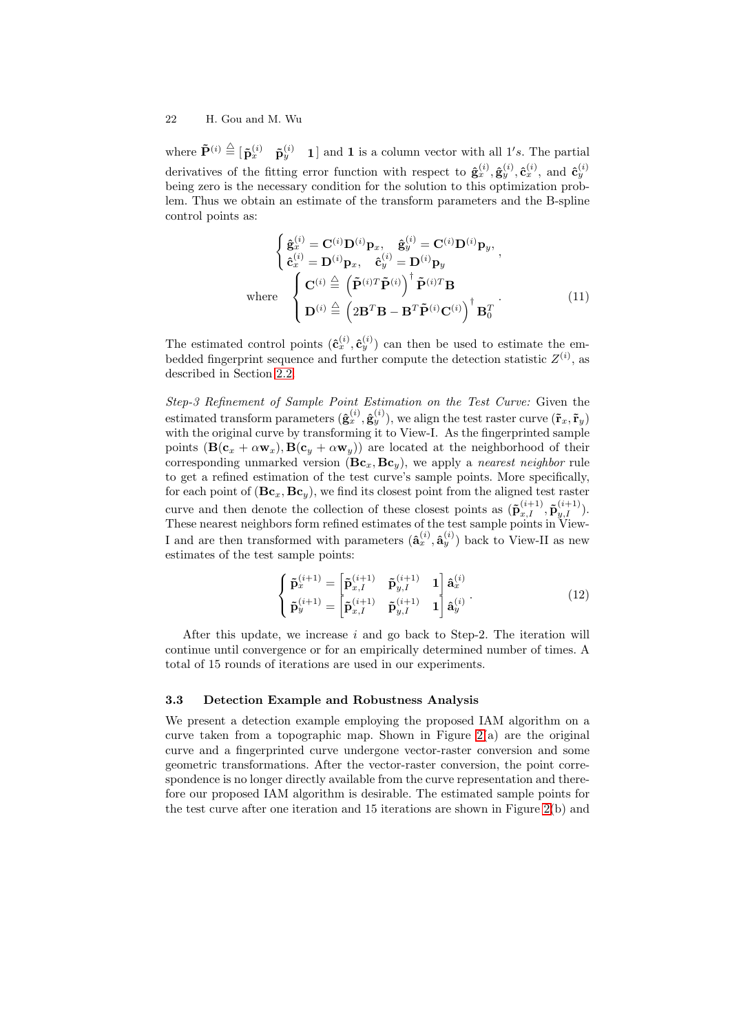where  $\tilde{\mathbf{P}}^{(i)} \triangleq [\tilde{\mathbf{p}}_x^{(i)} \quad \tilde{\mathbf{p}}_y^{(i)} \quad 1]$  and **1** is a column vector with all 1's. The partial derivatives of the fitting error function with respect to  $\hat{\mathbf{g}}_x^{(i)}$ ,  $\hat{\mathbf{g}}_y^{(i)}$ ,  $\hat{\mathbf{c}}_x^{(i)}$ , and  $\hat{\mathbf{c}}_y^{(i)}$ being zero is the necessary condition for the solution to this optimization problem. Thus we obtain an estimate of the transform parameters and the B-spline control points as:

$$
\begin{cases}\n\hat{\mathbf{g}}_{x}^{(i)} = \mathbf{C}^{(i)} \mathbf{D}^{(i)} \mathbf{p}_{x}, & \hat{\mathbf{g}}_{y}^{(i)} = \mathbf{C}^{(i)} \mathbf{D}^{(i)} \mathbf{p}_{y}, \\
\hat{\mathbf{c}}_{x}^{(i)} = \mathbf{D}^{(i)} \mathbf{p}_{x}, & \hat{\mathbf{c}}_{y}^{(i)} = \mathbf{D}^{(i)} \mathbf{p}_{y} \\
\mathbf{C}^{(i)} \stackrel{\triangle}{=} \left(\tilde{\mathbf{P}}^{(i)T} \tilde{\mathbf{P}}^{(i)}\right)^{\dagger} \tilde{\mathbf{P}}^{(i)T} \mathbf{B} \\
\mathbf{D}^{(i)} \stackrel{\triangle}{=} \left(2\mathbf{B}^{T} \mathbf{B} - \mathbf{B}^{T} \tilde{\mathbf{P}}^{(i)} \mathbf{C}^{(i)}\right)^{\dagger} \mathbf{B}_{0}^{T}.\n\end{cases}
$$
\n(11)

The estimated control points  $(\hat{\mathbf{c}}_x^{(i)}, \hat{\mathbf{c}}_y^{(i)})$  can then be used to estimate the embedded fingerprint sequence and further compute the detection statistic  $Z^{(i)}$ , as described in Section [2.2.](#page-4-0)

Step-3 Refinement of Sample Point Estimation on the Test Curve: Given the  $\text{estimated transform parameters } (\hat{\mathbf{g}}_x^{(i)}, \hat{\mathbf{g}}_y^{(i)}), \text{ we align the test raster curve } (\tilde{\mathbf{r}}_x, \tilde{\mathbf{r}}_y)$ with the original curve by transforming it to View-I. As the fingerprinted sample points  $(\mathbf{B}(\mathbf{c}_x + \alpha \mathbf{w}_x), \mathbf{B}(\mathbf{c}_y + \alpha \mathbf{w}_y))$  are located at the neighborhood of their corresponding unmarked version  $(\mathbf{Bc}_x, \mathbf{Bc}_y)$ , we apply a *nearest neighbor* rule to get a refined estimation of the test curve's sample points. More specifically, for each point of  $(\mathbf{Bc}_x, \mathbf{Bc}_y)$ , we find its closest point from the aligned test raster curve and then denote the collection of these closest points as  $(\tilde{\mathbf{p}}_{x,I}^{(i+1)}, \tilde{\mathbf{p}}_{y,I}^{(i+1)})$ . These nearest neighbors form refined estimates of the test sample points in View-I and are then transformed with parameters  $(\hat{\mathbf{a}}_x^{(i)}, \hat{\mathbf{a}}_y^{(i)})$  back to View-II as new estimates of the test sample points:

$$
\begin{cases}\n\tilde{\mathbf{p}}_x^{(i+1)} = \begin{bmatrix}\n\tilde{\mathbf{p}}_{x,I}^{(i+1)} & \tilde{\mathbf{p}}_{y,I}^{(i+1)} & 1\n\end{bmatrix}\n\tilde{\mathbf{a}}_x^{(i)} \\
\tilde{\mathbf{p}}_y^{(i+1)} = \begin{bmatrix}\n\tilde{\mathbf{p}}_{x,I}^{(i+1)} & \tilde{\mathbf{p}}_{y,I}^{(i+1)} & 1\n\end{bmatrix}\n\tilde{\mathbf{a}}_y^{(i)}\n\end{cases} (12)
$$

After this update, we increase  $i$  and go back to Step-2. The iteration will continue until convergence or for an empirically determined number of times. A total of 15 rounds of iterations are used in our experiments.

#### **3.3 Detection Example and Robustness Analysis**

We present a detection example employing the proposed IAM algorithm on a curve taken from a topographic map. Shown in Figure  $2(a)$  are the original curve and a fingerprinted curve undergone vector-raster conversion and some geometric transformations. After the vector-raster conversion, the point correspondence is no longer directly available from the curve representation and therefore our proposed IAM algorithm is desirable. The estimated sample points for the test curve after one iteration and 15 iterations are shown in Figure [2\(](#page-10-0)b) and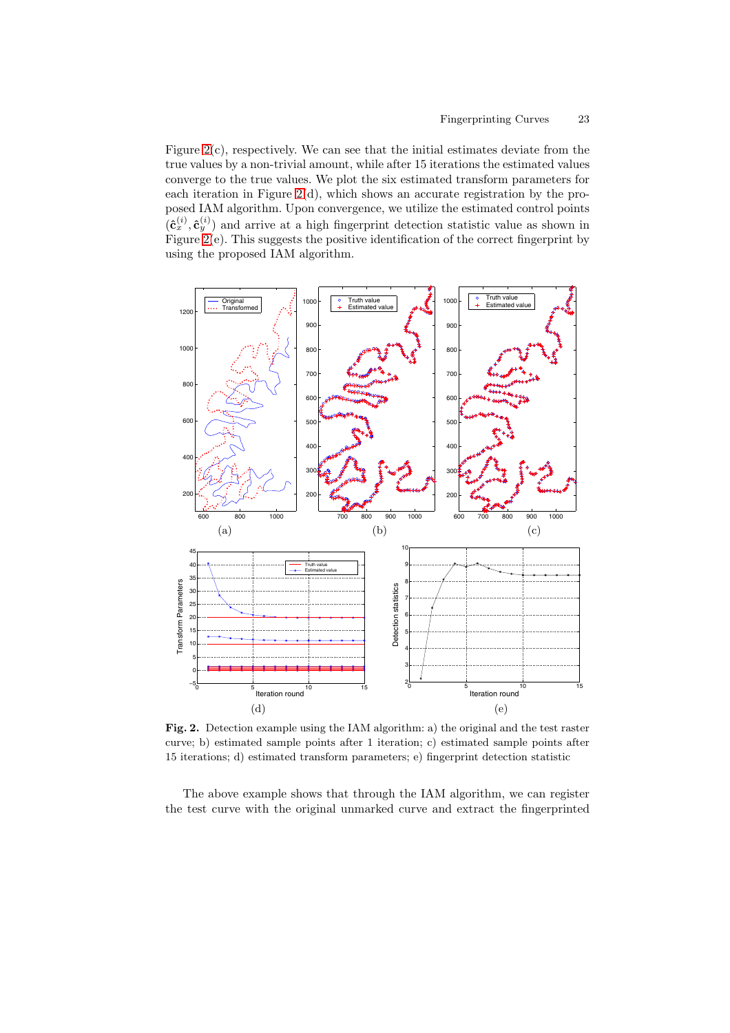<span id="page-10-0"></span>Figure 2(c), respectively. We can see that the initial estimates deviate from the true values by a non-trivial amount, while after 15 iterations the estimated values converge to the true values. We plot the six estimated transform parameters for each iteration in Figure 2(d), which shows an accurate registration by the proposed IAM algorithm. Upon convergence, we utilize the estimated control points  $(\hat{\mathbf{c}}_x^{(i)}, \hat{\mathbf{c}}_y^{(i)})$  and arrive at a high fingerprint detection statistic value as shown in Figure 2(e). This suggests the positive identification of the correct fingerprint by using the proposed IAM algorithm.



**Fig. 2.** Detection example using the IAM algorithm: a) the original and the test raster curve; b) estimated sample points after 1 iteration; c) estimated sample points after 15 iterations; d) estimated transform parameters; e) fingerprint detection statistic

The above example shows that through the IAM algorithm, we can register the test curve with the original unmarked curve and extract the fingerprinted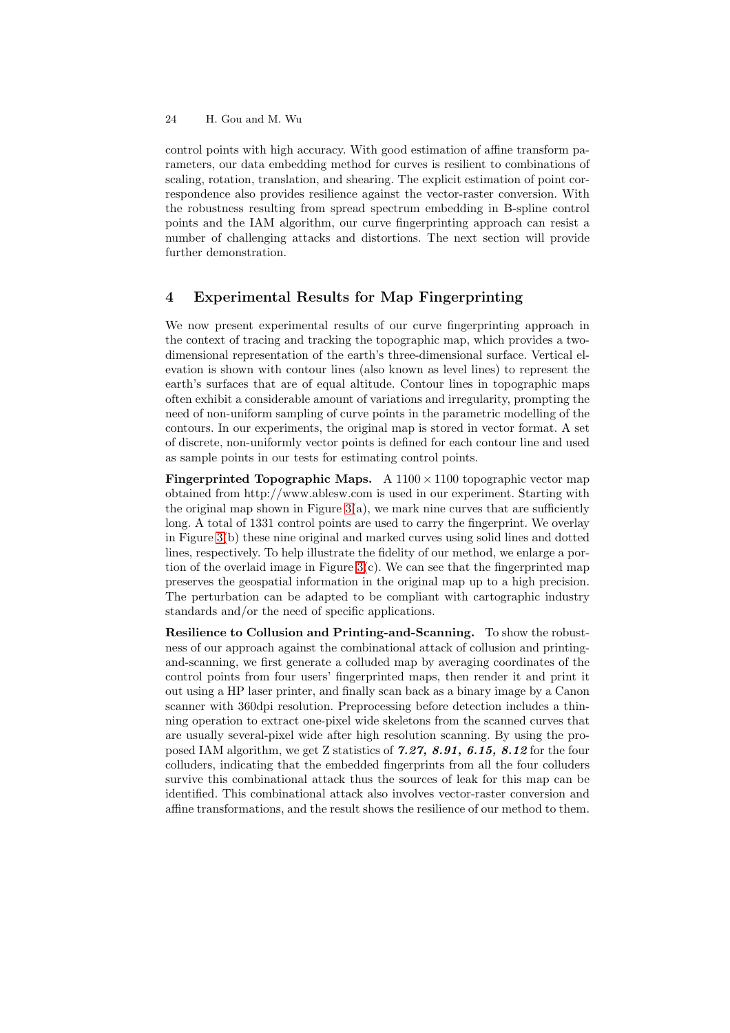<span id="page-11-0"></span>control points with high accuracy. With good estimation of affine transform parameters, our data embedding method for curves is resilient to combinations of scaling, rotation, translation, and shearing. The explicit estimation of point correspondence also provides resilience against the vector-raster conversion. With the robustness resulting from spread spectrum embedding in B-spline control points and the IAM algorithm, our curve fingerprinting approach can resist a number of challenging attacks and distortions. The next section will provide further demonstration.

### **4 Experimental Results for Map Fingerprinting**

We now present experimental results of our curve fingerprinting approach in the context of tracing and tracking the topographic map, which provides a twodimensional representation of the earth's three-dimensional surface. Vertical elevation is shown with contour lines (also known as level lines) to represent the earth's surfaces that are of equal altitude. Contour lines in topographic maps often exhibit a considerable amount of variations and irregularity, prompting the need of non-uniform sampling of curve points in the parametric modelling of the contours. In our experiments, the original map is stored in vector format. A set of discrete, non-uniformly vector points is defined for each contour line and used as sample points in our tests for estimating control points.

**Fingerprinted Topographic Maps.** A 1100  $\times$  1100 topographic vector map obtained from http://www.ablesw.com is used in our experiment. Starting with the original map shown in Figure  $3(a)$ , we mark nine curves that are sufficiently long. A total of 1331 control points are used to carry the fingerprint. We overlay in Figure [3\(](#page-12-0)b) these nine original and marked curves using solid lines and dotted lines, respectively. To help illustrate the fidelity of our method, we enlarge a portion of the overlaid image in Figure  $3(c)$ . We can see that the fingerprinted map preserves the geospatial information in the original map up to a high precision. The perturbation can be adapted to be compliant with cartographic industry standards and/or the need of specific applications.

**Resilience to Collusion and Printing-and-Scanning.** To show the robustness of our approach against the combinational attack of collusion and printingand-scanning, we first generate a colluded map by averaging coordinates of the control points from four users' fingerprinted maps, then render it and print it out using a HP laser printer, and finally scan back as a binary image by a Canon scanner with 360dpi resolution. Preprocessing before detection includes a thinning operation to extract one-pixel wide skeletons from the scanned curves that are usually several-pixel wide after high resolution scanning. By using the proposed IAM algorithm, we get Z statistics of *7.27, 8.91, 6.15, 8.12* for the four colluders, indicating that the embedded fingerprints from all the four colluders survive this combinational attack thus the sources of leak for this map can be identified. This combinational attack also involves vector-raster conversion and affine transformations, and the result shows the resilience of our method to them.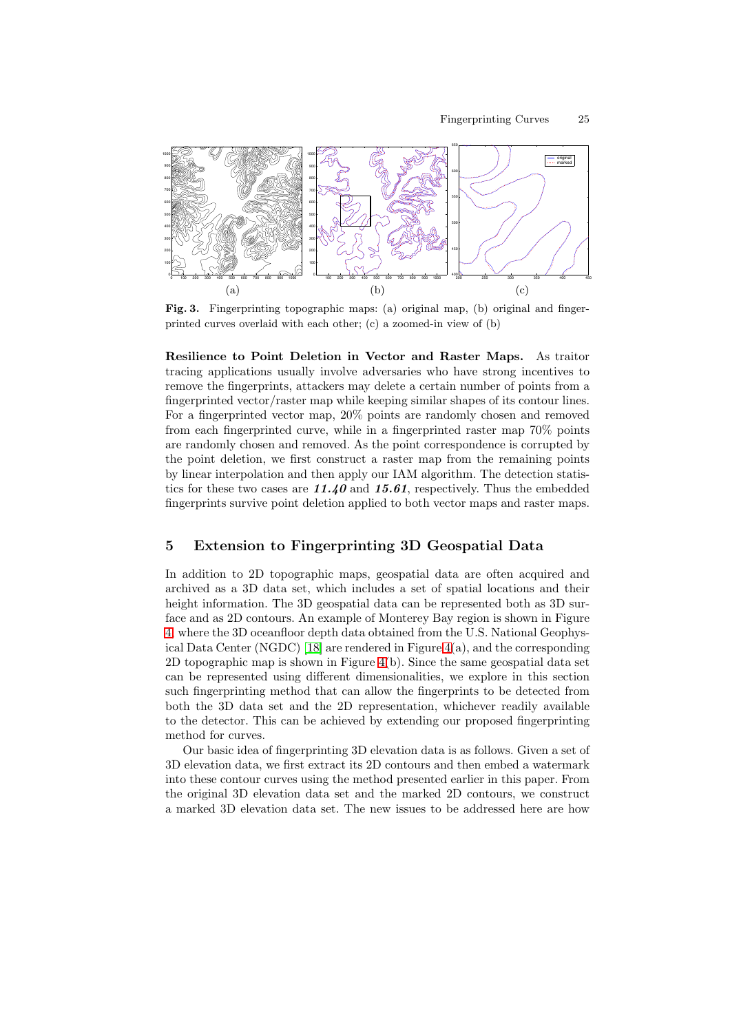<span id="page-12-0"></span>

Fig. 3. Fingerprinting topographic maps: (a) original map, (b) original and fingerprinted curves overlaid with each other; (c) a zoomed-in view of (b)

**Resilience to Point Deletion in Vector and Raster Maps.** As traitor tracing applications usually involve adversaries who have strong incentives to remove the fingerprints, attackers may delete a certain number of points from a fingerprinted vector/raster map while keeping similar shapes of its contour lines. For a fingerprinted vector map, 20% points are randomly chosen and removed from each fingerprinted curve, while in a fingerprinted raster map 70% points are randomly chosen and removed. As the point correspondence is corrupted by the point deletion, we first construct a raster map from the remaining points by linear interpolation and then apply our IAM algorithm. The detection statistics for these two cases are *11.40* and *15.61*, respectively. Thus the embedded fingerprints survive point deletion applied to both vector maps and raster maps.

## **5Extension to Fingerprinting 3D Geospatial Data**

In addition to 2D topographic maps, geospatial data are often acquired and archived as a 3D data set, which includes a set of spatial locations and their height information. The 3D geospatial data can be represented both as 3D surface and as 2D contours. An example of Monterey Bay region is shown in Figure [4,](#page-13-0) where the 3D oceanfloor depth data obtained from the U.S. National Geophys-ical Data Center (NGDC) [\[18\]](#page-15-0) are rendered in Figure  $4(a)$ , and the corresponding 2D topographic map is shown in Figure [4\(](#page-13-0)b). Since the same geospatial data set can be represented using different dimensionalities, we explore in this section such fingerprinting method that can allow the fingerprints to be detected from both the 3D data set and the 2D representation, whichever readily available to the detector. This can be achieved by extending our proposed fingerprinting method for curves.

Our basic idea of fingerprinting 3D elevation data is as follows. Given a set of 3D elevation data, we first extract its 2D contours and then embed a watermark into these contour curves using the method presented earlier in this paper. From the original 3D elevation data set and the marked 2D contours, we construct a marked 3D elevation data set. The new issues to be addressed here are how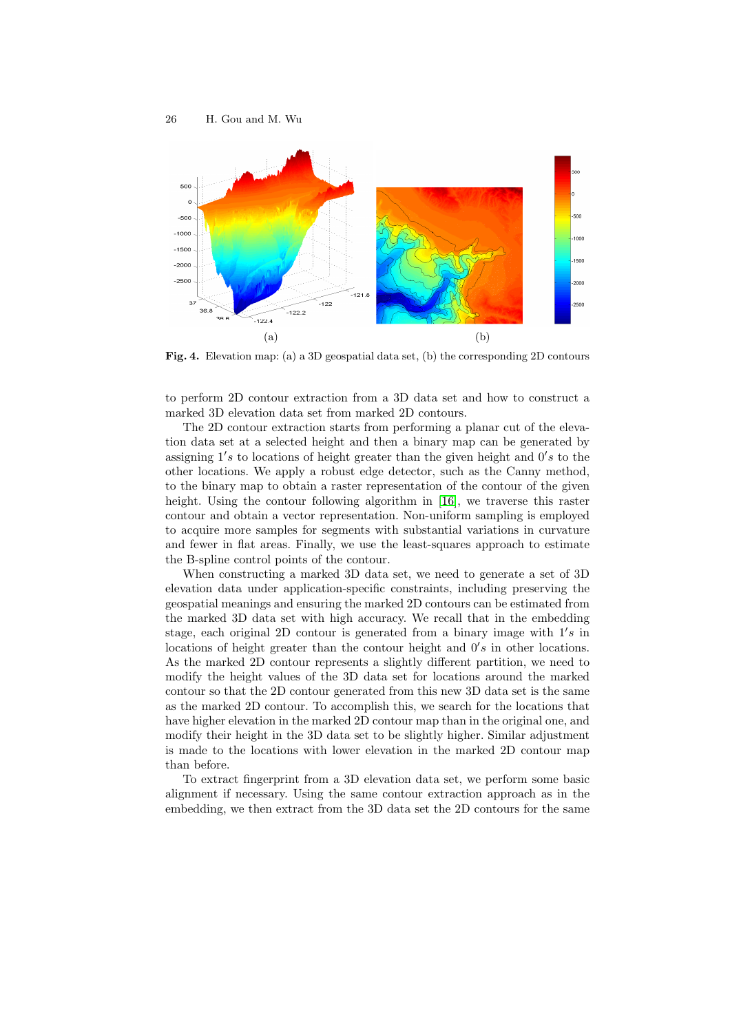<span id="page-13-0"></span>

**Fig. 4.** Elevation map: (a) a 3D geospatial data set, (b) the corresponding 2D contours

to perform 2D contour extraction from a 3D data set and how to construct a marked 3D elevation data set from marked 2D contours.

The 2D contour extraction starts from performing a planar cut of the elevation data set at a selected height and then a binary map can be generated by assigning  $1's$  to locations of height greater than the given height and  $0's$  to the other locations. We apply a robust edge detector, such as the Canny method, to the binary map to obtain a raster representation of the contour of the given height. Using the contour following algorithm in [\[16\]](#page-15-0), we traverse this raster contour and obtain a vector representation. Non-uniform sampling is employed to acquire more samples for segments with substantial variations in curvature and fewer in flat areas. Finally, we use the least-squares approach to estimate the B-spline control points of the contour.

When constructing a marked 3D data set, we need to generate a set of 3D elevation data under application-specific constraints, including preserving the geospatial meanings and ensuring the marked 2D contours can be estimated from the marked 3D data set with high accuracy. We recall that in the embedding stage, each original 2D contour is generated from a binary image with  $1's$  in locations of height greater than the contour height and  $0's$  in other locations. As the marked 2D contour represents a slightly different partition, we need to modify the height values of the 3D data set for locations around the marked contour so that the 2D contour generated from this new 3D data set is the same as the marked 2D contour. To accomplish this, we search for the locations that have higher elevation in the marked 2D contour map than in the original one, and modify their height in the 3D data set to be slightly higher. Similar adjustment is made to the locations with lower elevation in the marked 2D contour map than before.

To extract fingerprint from a 3D elevation data set, we perform some basic alignment if necessary. Using the same contour extraction approach as in the embedding, we then extract from the 3D data set the 2D contours for the same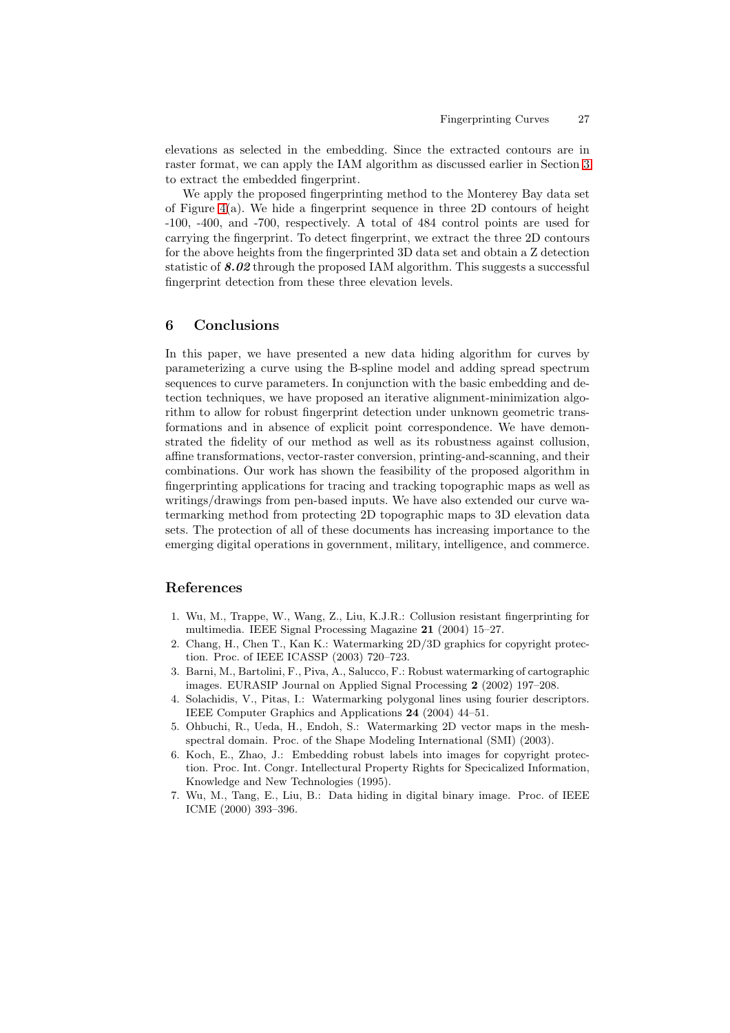<span id="page-14-0"></span>elevations as selected in the embedding. Since the extracted contours are in raster format, we can apply the IAM algorithm as discussed earlier in Section [3](#page-6-0) to extract the embedded fingerprint.

We apply the proposed fingerprinting method to the Monterey Bay data set of Figure [4\(](#page-13-0)a). We hide a fingerprint sequence in three 2D contours of height -100, -400, and -700, respectively. A total of 484 control points are used for carrying the fingerprint. To detect fingerprint, we extract the three 2D contours for the above heights from the fingerprinted 3D data set and obtain a Z detection statistic of *8.02* through the proposed IAM algorithm. This suggests a successful fingerprint detection from these three elevation levels.

# **6 Conclusions**

In this paper, we have presented a new data hiding algorithm for curves by parameterizing a curve using the B-spline model and adding spread spectrum sequences to curve parameters. In conjunction with the basic embedding and detection techniques, we have proposed an iterative alignment-minimization algorithm to allow for robust fingerprint detection under unknown geometric transformations and in absence of explicit point correspondence. We have demonstrated the fidelity of our method as well as its robustness against collusion, affine transformations, vector-raster conversion, printing-and-scanning, and their combinations. Our work has shown the feasibility of the proposed algorithm in fingerprinting applications for tracing and tracking topographic maps as well as writings/drawings from pen-based inputs. We have also extended our curve watermarking method from protecting 2D topographic maps to 3D elevation data sets. The protection of all of these documents has increasing importance to the emerging digital operations in government, military, intelligence, and commerce.

#### **References**

- 1. Wu, M., Trappe, W., Wang, Z., Liu, K.J.R.: Collusion resistant fingerprinting for multimedia. IEEE Signal Processing Magazine **21** (2004) 15–27.
- 2. Chang, H., Chen T., Kan K.: Watermarking 2D/3D graphics for copyright protection. Proc. of IEEE ICASSP (2003) 720–723.
- 3. Barni, M., Bartolini, F., Piva, A., Salucco, F.: Robust watermarking of cartographic images. EURASIP Journal on Applied Signal Processing **2** (2002) 197–208.
- 4. Solachidis, V., Pitas, I.: Watermarking polygonal lines using fourier descriptors. IEEE Computer Graphics and Applications **24** (2004) 44–51.
- 5. Ohbuchi, R., Ueda, H., Endoh, S.: Watermarking 2D vector maps in the meshspectral domain. Proc. of the Shape Modeling International (SMI) (2003).
- 6. Koch, E., Zhao, J.: Embedding robust labels into images for copyright protection. Proc. Int. Congr. Intellectural Property Rights for Specicalized Information, Knowledge and New Technologies (1995).
- 7. Wu, M., Tang, E., Liu, B.: Data hiding in digital binary image. Proc. of IEEE ICME (2000) 393–396.